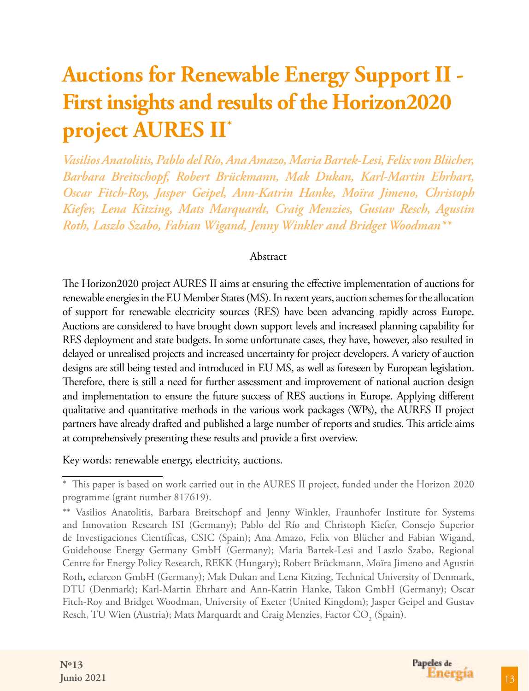# **Auctions for Renewable Energy Support II - First insights and results of the Horizon2020 project AURES II\***

*Vasilios Anatolitis, Pablo del Río, Ana Amazo, Maria Bartek-Lesi, Felix von Blücher, Barbara Breitschopf, Robert Brückmann, Mak Dukan, Karl-Martin Ehrhart, Oscar Fitch-Roy, Jasper Geipel, Ann-Katrin Hanke, Moïra Jimeno, Christoph Kiefer, Lena Kitzing, Mats Marquardt, Craig Menzies, Gustav Resch, Agustin Roth, Laszlo Szabo, Fabian Wigand, Jenny Winkler and Bridget Woodman\*\**

#### Abstract

The Horizon2020 project AURES II aims at ensuring the effective implementation of auctions for renewable energies in the EU Member States (MS). In recent years, auction schemes for the allocation of support for renewable electricity sources (RES) have been advancing rapidly across Europe. Auctions are considered to have brought down support levels and increased planning capability for RES deployment and state budgets. In some unfortunate cases, they have, however, also resulted in delayed or unrealised projects and increased uncertainty for project developers. A variety of auction designs are still being tested and introduced in EU MS, as well as foreseen by European legislation. Therefore, there is still a need for further assessment and improvement of national auction design and implementation to ensure the future success of RES auctions in Europe. Applying different qualitative and quantitative methods in the various work packages (WPs), the AURES II project partners have already drafted and published a large number of reports and studies. This article aims at comprehensively presenting these results and provide a first overview.

Key words: renewable energy, electricity, auctions.



<sup>\*</sup> This paper is based on work carried out in the AURES II project, funded under the Horizon 2020 programme (grant number 817619).

<sup>\*\*</sup> Vasilios Anatolitis, Barbara Breitschopf and Jenny Winkler, Fraunhofer Institute for Systems and Innovation Research ISI (Germany); Pablo del Río and Christoph Kiefer, Consejo Superior de Investigaciones Científicas, CSIC (Spain); Ana Amazo, Felix von Blücher and Fabian Wigand, Guidehouse Energy Germany GmbH (Germany); Maria Bartek-Lesi and Laszlo Szabo, Regional Centre for Energy Policy Research, REKK (Hungary); Robert Brückmann, Moïra Jimeno and Agustin Roth, eclareon GmbH (Germany); Mak Dukan and Lena Kitzing, Technical University of Denmark, DTU (Denmark); Karl-Martin Ehrhart and Ann-Katrin Hanke, Takon GmbH (Germany); Oscar Fitch-Roy and Bridget Woodman, University of Exeter (United Kingdom); Jasper Geipel and Gustav Resch, TU Wien (Austria); Mats Marquardt and Craig Menzies, Factor CO $_2^{}$  (Spain).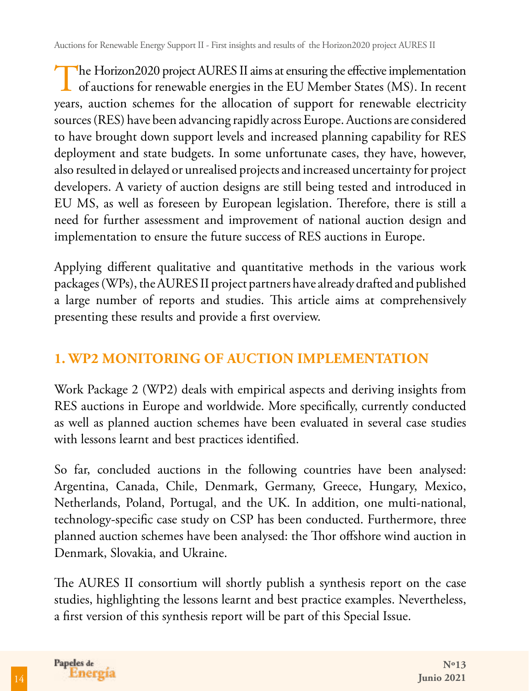The Horizon2020 project AURES II aims at ensuring the effective implementation<br>of auctions for renewable energies in the EU Member States (MS). In recent years, auction schemes for the allocation of support for renewable electricity sources (RES) have been advancing rapidly across Europe. Auctions are considered to have brought down support levels and increased planning capability for RES deployment and state budgets. In some unfortunate cases, they have, however, also resulted in delayed or unrealised projects and increased uncertainty for project developers. A variety of auction designs are still being tested and introduced in EU MS, as well as foreseen by European legislation. Therefore, there is still a need for further assessment and improvement of national auction design and implementation to ensure the future success of RES auctions in Europe.

Applying different qualitative and quantitative methods in the various work packages (WPs), the AURES II project partners have already drafted and published a large number of reports and studies. This article aims at comprehensively presenting these results and provide a first overview.

### **1. WP2 MONITORING OF AUCTION IMPLEMENTATION**

Work Package 2 (WP2) deals with empirical aspects and deriving insights from RES auctions in Europe and worldwide. More specifically, currently conducted as well as planned auction schemes have been evaluated in several case studies with lessons learnt and best practices identified.

So far, concluded auctions in the following countries have been analysed: Argentina, Canada, Chile, Denmark, Germany, Greece, Hungary, Mexico, Netherlands, Poland, Portugal, and the UK. In addition, one multi-national, technology-specific case study on CSP has been conducted. Furthermore, three planned auction schemes have been analysed: the Thor offshore wind auction in Denmark, Slovakia, and Ukraine.

The AURES II consortium will shortly publish a synthesis report on the case studies, highlighting the lessons learnt and best practice examples. Nevertheless, a first version of this synthesis report will be part of this Special Issue.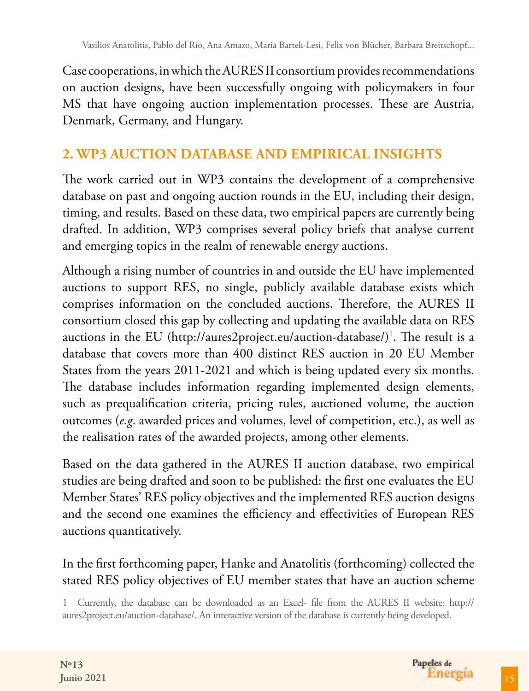Case cooperations, in which the AURES II consortium provides recommendations on auction designs, have been successfully ongoing with policymakers in four MS that have ongoing auction implementation processes. These are Austria, Denmark, Germany, and Hungary.

# **2. WP3 AUCTION DATABASE AND EMPIRICAL INSIGHTS**

The work carried out in WP3 contains the development of a comprehensive database on past and ongoing auction rounds in the EU, including their design, timing, and results. Based on these data, two empirical papers are currently being drafted. In addition, WP3 comprises several policy briefs that analyse current and emerging topics in the realm of renewable energy auctions.

Although a rising number of countries in and outside the EU have implemented auctions to support RES, no single, publicly available database exists which comprises information on the concluded auctions. Therefore, the AURES II consortium closed this gap by collecting and updating the available data on RES auctions in the EU (http://aures2project.eu/auction-database/)<sup>1</sup>. The result is a database that covers more than 400 distinct RES auction in 20 EU Member States from the years 2011-2021 and which is being updated every six months. The database includes information regarding implemented design elements, such as prequalification criteria, pricing rules, auctioned volume, the auction outcomes (*e.g*. awarded prices and volumes, level of competition, etc.), as well as the realisation rates of the awarded projects, among other elements.

Based on the data gathered in the AURES II auction database, two empirical studies are being drafted and soon to be published: the first one evaluates the EU Member States' RES policy objectives and the implemented RES auction designs and the second one examines the efficiency and effectivities of European RES auctions quantitatively.

In the first forthcoming paper, Hanke and Anatolitis (forthcoming) collected the stated RES policy objectives of EU member states that have an auction scheme

<sup>1</sup> Currently, the database can be downloaded as an Excel- file from the AURES II website: http:// aures2project.eu/auction-database/. An interactive version of the database is currently being developed.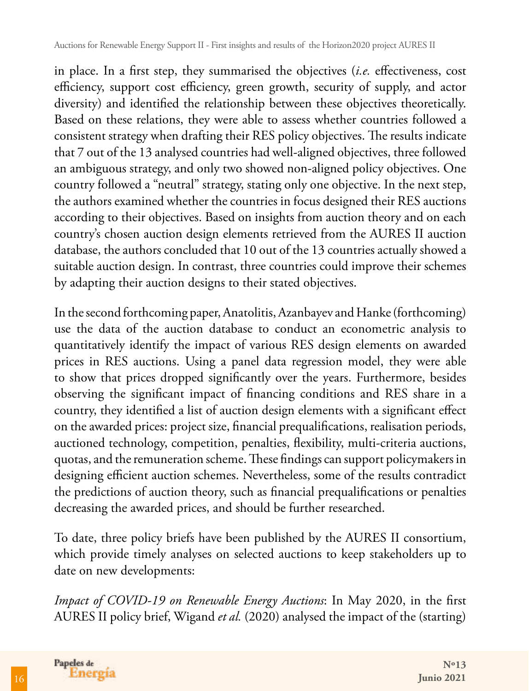in place. In a first step, they summarised the objectives (*i.e.* effectiveness, cost efficiency, support cost efficiency, green growth, security of supply, and actor diversity) and identified the relationship between these objectives theoretically. Based on these relations, they were able to assess whether countries followed a consistent strategy when drafting their RES policy objectives. The results indicate that 7 out of the 13 analysed countries had well-aligned objectives, three followed an ambiguous strategy, and only two showed non-aligned policy objectives. One country followed a "neutral" strategy, stating only one objective. In the next step, the authors examined whether the countries in focus designed their RES auctions according to their objectives. Based on insights from auction theory and on each country's chosen auction design elements retrieved from the AURES II auction database, the authors concluded that 10 out of the 13 countries actually showed a suitable auction design. In contrast, three countries could improve their schemes by adapting their auction designs to their stated objectives.

In the second forthcoming paper, Anatolitis, Azanbayev and Hanke (forthcoming) use the data of the auction database to conduct an econometric analysis to quantitatively identify the impact of various RES design elements on awarded prices in RES auctions. Using a panel data regression model, they were able to show that prices dropped significantly over the years. Furthermore, besides observing the significant impact of financing conditions and RES share in a country, they identified a list of auction design elements with a significant effect on the awarded prices: project size, financial prequalifications, realisation periods, auctioned technology, competition, penalties, flexibility, multi-criteria auctions, quotas, and the remuneration scheme. These findings can support policymakers in designing efficient auction schemes. Nevertheless, some of the results contradict the predictions of auction theory, such as financial prequalifications or penalties decreasing the awarded prices, and should be further researched.

To date, three policy briefs have been published by the AURES II consortium, which provide timely analyses on selected auctions to keep stakeholders up to date on new developments:

*Impact of COVID-19 on Renewable Energy Auctions*: In May 2020, in the first AURES II policy brief, Wigand *et al.* (2020) analysed the impact of the (starting)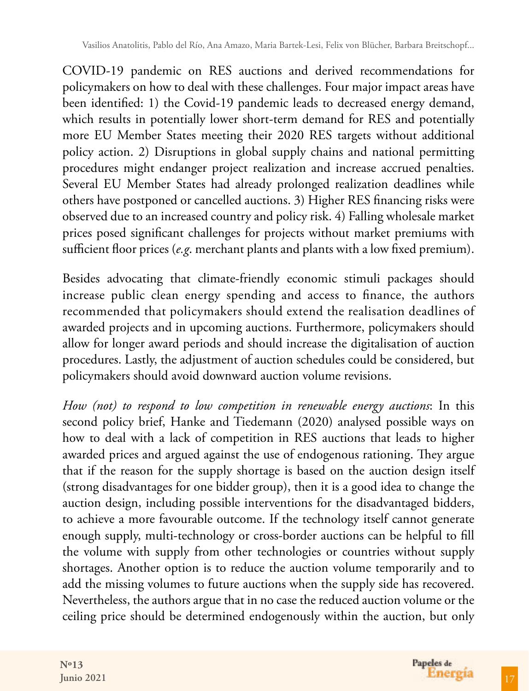Vasilios Anatolitis, Pablo del Río, Ana Amazo, Maria Bartek-Lesi, Felix von Blücher, Barbara Breitschopf...

COVID-19 pandemic on RES auctions and derived recommendations for policymakers on how to deal with these challenges. Four major impact areas have been identified: 1) the Covid-19 pandemic leads to decreased energy demand, which results in potentially lower short-term demand for RES and potentially more EU Member States meeting their 2020 RES targets without additional policy action. 2) Disruptions in global supply chains and national permitting procedures might endanger project realization and increase accrued penalties. Several EU Member States had already prolonged realization deadlines while others have postponed or cancelled auctions. 3) Higher RES financing risks were observed due to an increased country and policy risk. 4) Falling wholesale market prices posed significant challenges for projects without market premiums with sufficient floor prices (*e.g*. merchant plants and plants with a low fixed premium).

Besides advocating that climate-friendly economic stimuli packages should increase public clean energy spending and access to finance, the authors recommended that policymakers should extend the realisation deadlines of awarded projects and in upcoming auctions. Furthermore, policymakers should allow for longer award periods and should increase the digitalisation of auction procedures. Lastly, the adjustment of auction schedules could be considered, but policymakers should avoid downward auction volume revisions.

*How (not) to respond to low competition in renewable energy auctions*: In this second policy brief, Hanke and Tiedemann (2020) analysed possible ways on how to deal with a lack of competition in RES auctions that leads to higher awarded prices and argued against the use of endogenous rationing. They argue that if the reason for the supply shortage is based on the auction design itself (strong disadvantages for one bidder group), then it is a good idea to change the auction design, including possible interventions for the disadvantaged bidders, to achieve a more favourable outcome. If the technology itself cannot generate enough supply, multi-technology or cross-border auctions can be helpful to fill the volume with supply from other technologies or countries without supply shortages. Another option is to reduce the auction volume temporarily and to add the missing volumes to future auctions when the supply side has recovered. Nevertheless, the authors argue that in no case the reduced auction volume or the ceiling price should be determined endogenously within the auction, but only

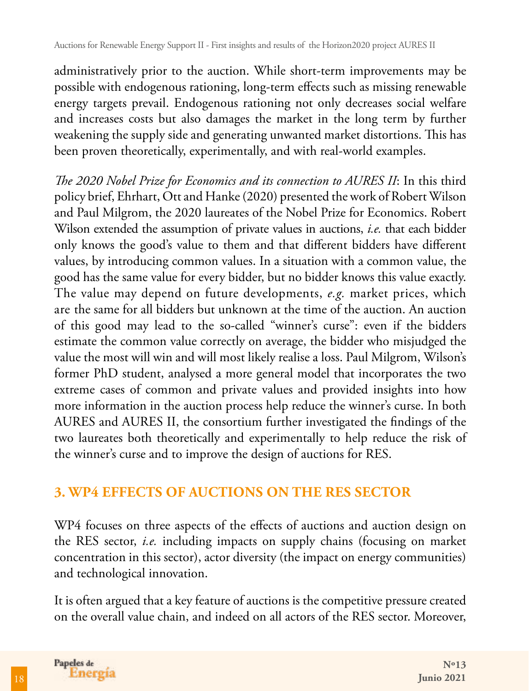administratively prior to the auction. While short-term improvements may be possible with endogenous rationing, long-term effects such as missing renewable energy targets prevail. Endogenous rationing not only decreases social welfare and increases costs but also damages the market in the long term by further weakening the supply side and generating unwanted market distortions. This has been proven theoretically, experimentally, and with real-world examples.

*The 2020 Nobel Prize for Economics and its connection to AURES II*: In this third policy brief, Ehrhart, Ott and Hanke (2020) presented the work of Robert Wilson and Paul Milgrom, the 2020 laureates of the Nobel Prize for Economics. Robert Wilson extended the assumption of private values in auctions, *i.e.* that each bidder only knows the good's value to them and that different bidders have different values, by introducing common values. In a situation with a common value, the good has the same value for every bidder, but no bidder knows this value exactly. The value may depend on future developments, *e.g.* market prices, which are the same for all bidders but unknown at the time of the auction. An auction of this good may lead to the so-called "winner's curse": even if the bidders estimate the common value correctly on average, the bidder who misjudged the value the most will win and will most likely realise a loss. Paul Milgrom, Wilson's former PhD student, analysed a more general model that incorporates the two extreme cases of common and private values and provided insights into how more information in the auction process help reduce the winner's curse. In both AURES and AURES II, the consortium further investigated the findings of the two laureates both theoretically and experimentally to help reduce the risk of the winner's curse and to improve the design of auctions for RES.

### **3. WP4 EFFECTS OF AUCTIONS ON THE RES SECTOR**

WP4 focuses on three aspects of the effects of auctions and auction design on the RES sector, *i.e.* including impacts on supply chains (focusing on market concentration in this sector), actor diversity (the impact on energy communities) and technological innovation.

It is often argued that a key feature of auctions is the competitive pressure created on the overall value chain, and indeed on all actors of the RES sector. Moreover,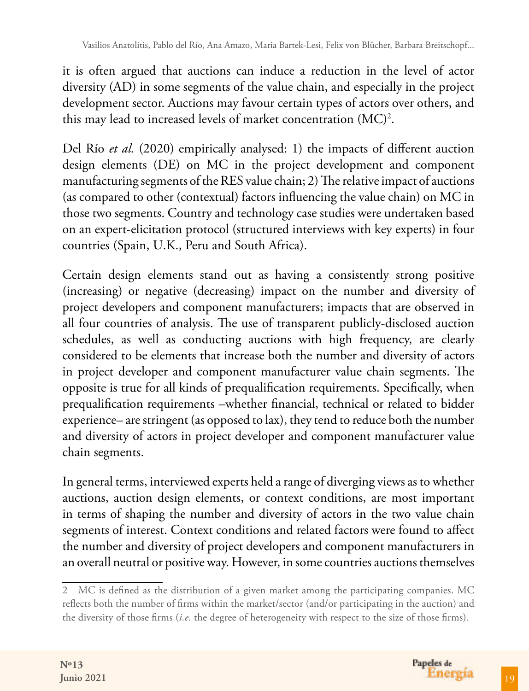it is often argued that auctions can induce a reduction in the level of actor diversity (AD) in some segments of the value chain, and especially in the project development sector. Auctions may favour certain types of actors over others, and this may lead to increased levels of market concentration  $(MC)^2$ .

Del Río *et al.* (2020) empirically analysed: 1) the impacts of different auction design elements (DE) on MC in the project development and component manufacturing segments of the RES value chain; 2) The relative impact of auctions (as compared to other (contextual) factors influencing the value chain) on MC in those two segments. Country and technology case studies were undertaken based on an expert-elicitation protocol (structured interviews with key experts) in four countries (Spain, U.K., Peru and South Africa).

Certain design elements stand out as having a consistently strong positive (increasing) or negative (decreasing) impact on the number and diversity of project developers and component manufacturers; impacts that are observed in all four countries of analysis. The use of transparent publicly-disclosed auction schedules, as well as conducting auctions with high frequency, are clearly considered to be elements that increase both the number and diversity of actors in project developer and component manufacturer value chain segments. The opposite is true for all kinds of prequalification requirements. Specifically, when prequalification requirements –whether financial, technical or related to bidder experience– are stringent (as opposed to lax), they tend to reduce both the number and diversity of actors in project developer and component manufacturer value chain segments.

In general terms, interviewed experts held a range of diverging views as to whether auctions, auction design elements, or context conditions, are most important in terms of shaping the number and diversity of actors in the two value chain segments of interest. Context conditions and related factors were found to affect the number and diversity of project developers and component manufacturers in an overall neutral or positive way. However, in some countries auctions themselves

<sup>2</sup> MC is defined as the distribution of a given market among the participating companies. MC reflects both the number of firms within the market/sector (and/or participating in the auction) and the diversity of those firms (*i.e*. the degree of heterogeneity with respect to the size of those firms).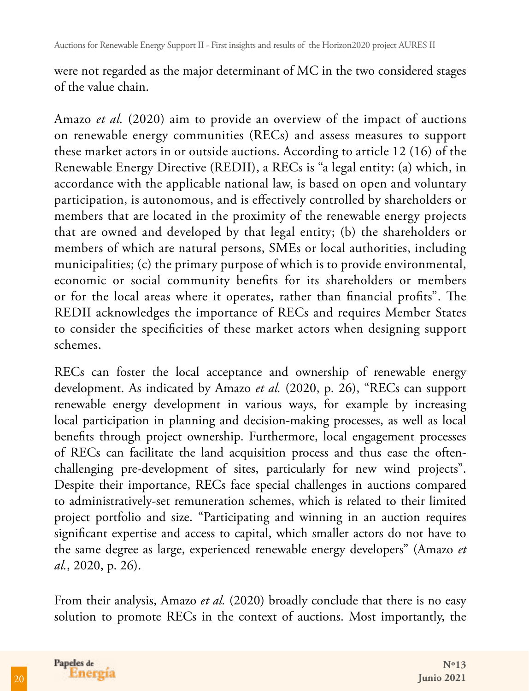were not regarded as the major determinant of MC in the two considered stages of the value chain.

Amazo *et al.* (2020) aim to provide an overview of the impact of auctions on renewable energy communities (RECs) and assess measures to support these market actors in or outside auctions. According to article 12 (16) of the Renewable Energy Directive (REDII), a RECs is "a legal entity: (a) which, in accordance with the applicable national law, is based on open and voluntary participation, is autonomous, and is effectively controlled by shareholders or members that are located in the proximity of the renewable energy projects that are owned and developed by that legal entity; (b) the shareholders or members of which are natural persons, SMEs or local authorities, including municipalities; (c) the primary purpose of which is to provide environmental, economic or social community benefits for its shareholders or members or for the local areas where it operates, rather than financial profits". The REDII acknowledges the importance of RECs and requires Member States to consider the specificities of these market actors when designing support schemes.

RECs can foster the local acceptance and ownership of renewable energy development. As indicated by Amazo *et al.* (2020, p. 26), "RECs can support renewable energy development in various ways, for example by increasing local participation in planning and decision-making processes, as well as local benefits through project ownership. Furthermore, local engagement processes of RECs can facilitate the land acquisition process and thus ease the oftenchallenging pre-development of sites, particularly for new wind projects". Despite their importance, RECs face special challenges in auctions compared to administratively-set remuneration schemes, which is related to their limited project portfolio and size. "Participating and winning in an auction requires significant expertise and access to capital, which smaller actors do not have to the same degree as large, experienced renewable energy developers" (Amazo *et al.*, 2020, p. 26).

From their analysis, Amazo *et al.* (2020) broadly conclude that there is no easy solution to promote RECs in the context of auctions. Most importantly, the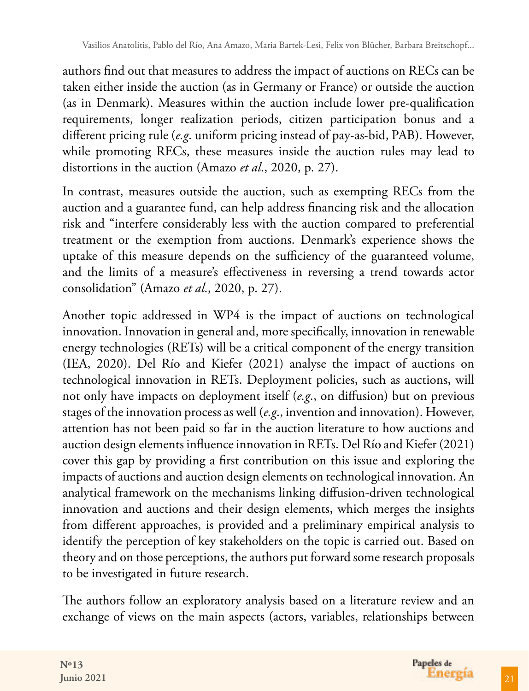authors find out that measures to address the impact of auctions on RECs can be taken either inside the auction (as in Germany or France) or outside the auction (as in Denmark). Measures within the auction include lower pre-qualification requirements, longer realization periods, citizen participation bonus and a different pricing rule (*e.g*. uniform pricing instead of pay-as-bid, PAB). However, while promoting RECs, these measures inside the auction rules may lead to distortions in the auction (Amazo *et al*., 2020, p. 27).

In contrast, measures outside the auction, such as exempting RECs from the auction and a guarantee fund, can help address financing risk and the allocation risk and "interfere considerably less with the auction compared to preferential treatment or the exemption from auctions. Denmark's experience shows the uptake of this measure depends on the sufficiency of the guaranteed volume, and the limits of a measure's effectiveness in reversing a trend towards actor consolidation" (Amazo *et al*., 2020, p. 27).

Another topic addressed in WP4 is the impact of auctions on technological innovation. Innovation in general and, more specifically, innovation in renewable energy technologies (RETs) will be a critical component of the energy transition (IEA, 2020). Del Río and Kiefer (2021) analyse the impact of auctions on technological innovation in RETs. Deployment policies, such as auctions, will not only have impacts on deployment itself (*e.g*., on diffusion) but on previous stages of the innovation process as well (*e.g*., invention and innovation). However, attention has not been paid so far in the auction literature to how auctions and auction design elements influence innovation in RETs. Del Río and Kiefer (2021) cover this gap by providing a first contribution on this issue and exploring the impacts of auctions and auction design elements on technological innovation. An analytical framework on the mechanisms linking diffusion-driven technological innovation and auctions and their design elements, which merges the insights from different approaches, is provided and a preliminary empirical analysis to identify the perception of key stakeholders on the topic is carried out. Based on theory and on those perceptions, the authors put forward some research proposals to be investigated in future research.

The authors follow an exploratory analysis based on a literature review and an exchange of views on the main aspects (actors, variables, relationships between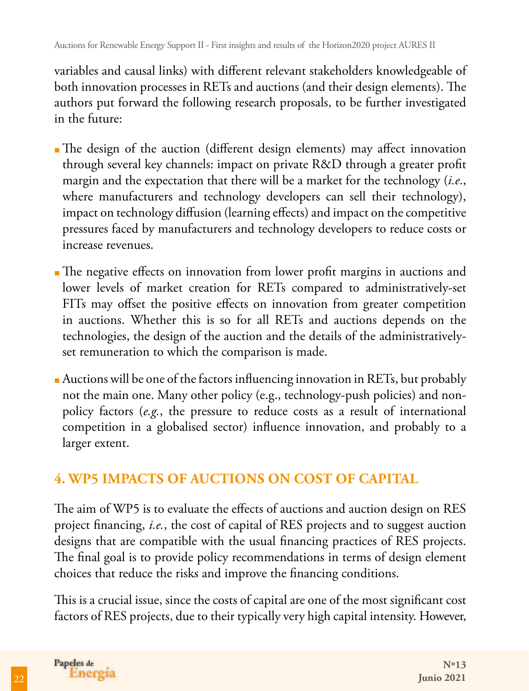variables and causal links) with different relevant stakeholders knowledgeable of both innovation processes in RETs and auctions (and their design elements). The authors put forward the following research proposals, to be further investigated in the future:

- The design of the auction (different design elements) may affect innovation through several key channels: impact on private R&D through a greater profit margin and the expectation that there will be a market for the technology (*i.e*., where manufacturers and technology developers can sell their technology), impact on technology diffusion (learning effects) and impact on the competitive pressures faced by manufacturers and technology developers to reduce costs or increase revenues.
- ■The negative effects on innovation from lower profit margins in auctions and lower levels of market creation for RETs compared to administratively-set FITs may offset the positive effects on innovation from greater competition in auctions. Whether this is so for all RETs and auctions depends on the technologies, the design of the auction and the details of the administrativelyset remuneration to which the comparison is made.
- Auctions will be one of the factors influencing innovation in RETs, but probably not the main one. Many other policy (e.g., technology-push policies) and nonpolicy factors (*e.g.*, the pressure to reduce costs as a result of international competition in a globalised sector) influence innovation, and probably to a larger extent.

# **4. WP5 IMPACTS OF AUCTIONS ON COST OF CAPITAL**

The aim of WP5 is to evaluate the effects of auctions and auction design on RES project financing, *i.e.*, the cost of capital of RES projects and to suggest auction designs that are compatible with the usual financing practices of RES projects. The final goal is to provide policy recommendations in terms of design element choices that reduce the risks and improve the financing conditions.

This is a crucial issue, since the costs of capital are one of the most significant cost factors of RES projects, due to their typically very high capital intensity. However,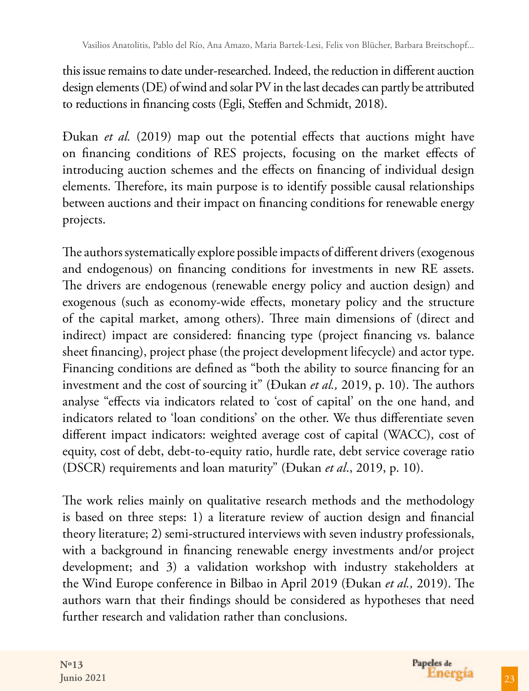this issue remains to date under-researched. Indeed, the reduction in different auction design elements (DE) of wind and solar PV in the last decades can partly be attributed to reductions in financing costs (Egli, Steffen and Schmidt, 2018).

Đukan *et al.* (2019) map out the potential effects that auctions might have on financing conditions of RES projects, focusing on the market effects of introducing auction schemes and the effects on financing of individual design elements. Therefore, its main purpose is to identify possible causal relationships between auctions and their impact on financing conditions for renewable energy projects.

The authors systematically explore possible impacts of different drivers (exogenous and endogenous) on financing conditions for investments in new RE assets. The drivers are endogenous (renewable energy policy and auction design) and exogenous (such as economy-wide effects, monetary policy and the structure of the capital market, among others). Three main dimensions of (direct and indirect) impact are considered: financing type (project financing vs. balance sheet financing), project phase (the project development lifecycle) and actor type. Financing conditions are defined as "both the ability to source financing for an investment and the cost of sourcing it" (Đukan *et al.,* 2019, p. 10). The authors analyse "effects via indicators related to 'cost of capital' on the one hand, and indicators related to 'loan conditions' on the other. We thus differentiate seven different impact indicators: weighted average cost of capital (WACC), cost of equity, cost of debt, debt-to-equity ratio, hurdle rate, debt service coverage ratio (DSCR) requirements and loan maturity" (Đukan *et al*., 2019, p. 10).

The work relies mainly on qualitative research methods and the methodology is based on three steps: 1) a literature review of auction design and financial theory literature; 2) semi-structured interviews with seven industry professionals, with a background in financing renewable energy investments and/or project development; and 3) a validation workshop with industry stakeholders at the Wind Europe conference in Bilbao in April 2019 (Đukan *et al.,* 2019). The authors warn that their findings should be considered as hypotheses that need further research and validation rather than conclusions.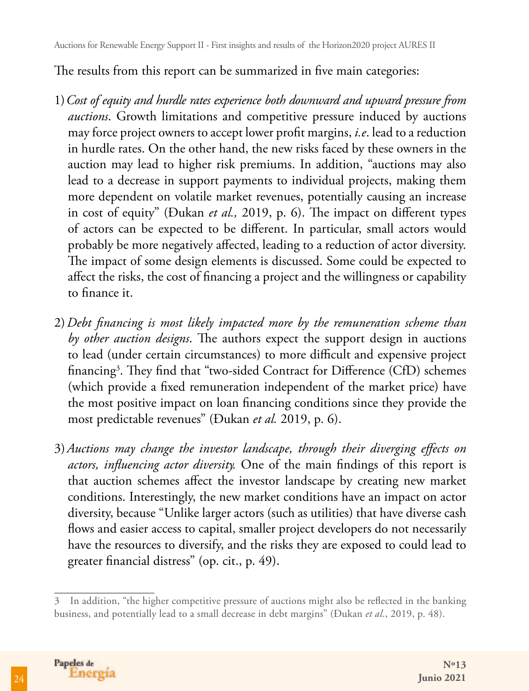Auctions for Renewable Energy Support II - First insights and results of the Horizon2020 project AURES II

The results from this report can be summarized in five main categories:

- 1)*Cost of equity and hurdle rates experience both downward and upward pressure from auctions*. Growth limitations and competitive pressure induced by auctions may force project owners to accept lower profit margins, *i.e*. lead to a reduction in hurdle rates. On the other hand, the new risks faced by these owners in the auction may lead to higher risk premiums. In addition, "auctions may also lead to a decrease in support payments to individual projects, making them more dependent on volatile market revenues, potentially causing an increase in cost of equity" (Đukan *et al.,* 2019, p. 6). The impact on different types of actors can be expected to be different. In particular, small actors would probably be more negatively affected, leading to a reduction of actor diversity. The impact of some design elements is discussed. Some could be expected to affect the risks, the cost of financing a project and the willingness or capability to finance it.
- 2)*Debt financing is most likely impacted more by the remuneration scheme than by other auction designs*. The authors expect the support design in auctions to lead (under certain circumstances) to more difficult and expensive project financing<sup>3</sup>. They find that "two-sided Contract for Difference (CfD) schemes (which provide a fixed remuneration independent of the market price) have the most positive impact on loan financing conditions since they provide the most predictable revenues" (Đukan *et al.* 2019, p. 6).
- 3)*Auctions may change the investor landscape, through their diverging effects on actors, influencing actor diversity.* One of the main findings of this report is that auction schemes affect the investor landscape by creating new market conditions. Interestingly, the new market conditions have an impact on actor diversity, because "Unlike larger actors (such as utilities) that have diverse cash flows and easier access to capital, smaller project developers do not necessarily have the resources to diversify, and the risks they are exposed to could lead to greater financial distress" (op. cit., p. 49).

<sup>3</sup> In addition, "the higher competitive pressure of auctions might also be reflected in the banking business, and potentially lead to a small decrease in debt margins" (Đukan *et al*., 2019, p. 48).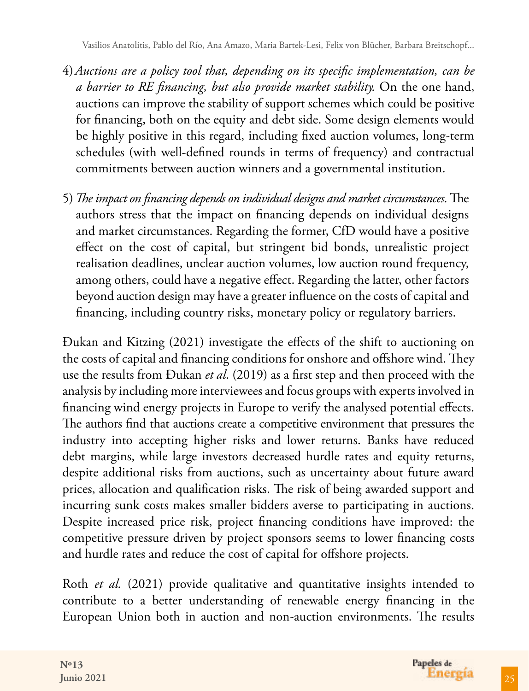- 4)*Auctions are a policy tool that, depending on its specific implementation, can be a barrier to RE financing, but also provide market stability.* On the one hand, auctions can improve the stability of support schemes which could be positive for financing, both on the equity and debt side. Some design elements would be highly positive in this regard, including fixed auction volumes, long-term schedules (with well-defined rounds in terms of frequency) and contractual commitments between auction winners and a governmental institution.
- 5)*The impact on financing depends on individual designs and market circumstances*. The authors stress that the impact on financing depends on individual designs and market circumstances. Regarding the former, CfD would have a positive effect on the cost of capital, but stringent bid bonds, unrealistic project realisation deadlines, unclear auction volumes, low auction round frequency, among others, could have a negative effect. Regarding the latter, other factors beyond auction design may have a greater influence on the costs of capital and financing, including country risks, monetary policy or regulatory barriers.

Đukan and Kitzing (2021) investigate the effects of the shift to auctioning on the costs of capital and financing conditions for onshore and offshore wind. They use the results from Đukan *et al*. (2019) as a first step and then proceed with the analysis by including more interviewees and focus groups with experts involved in financing wind energy projects in Europe to verify the analysed potential effects. The authors find that auctions create a competitive environment that pressures the industry into accepting higher risks and lower returns. Banks have reduced debt margins, while large investors decreased hurdle rates and equity returns, despite additional risks from auctions, such as uncertainty about future award prices, allocation and qualification risks. The risk of being awarded support and incurring sunk costs makes smaller bidders averse to participating in auctions. Despite increased price risk, project financing conditions have improved: the competitive pressure driven by project sponsors seems to lower financing costs and hurdle rates and reduce the cost of capital for offshore projects.

Roth *et al.* (2021) provide qualitative and quantitative insights intended to contribute to a better understanding of renewable energy financing in the European Union both in auction and non-auction environments. The results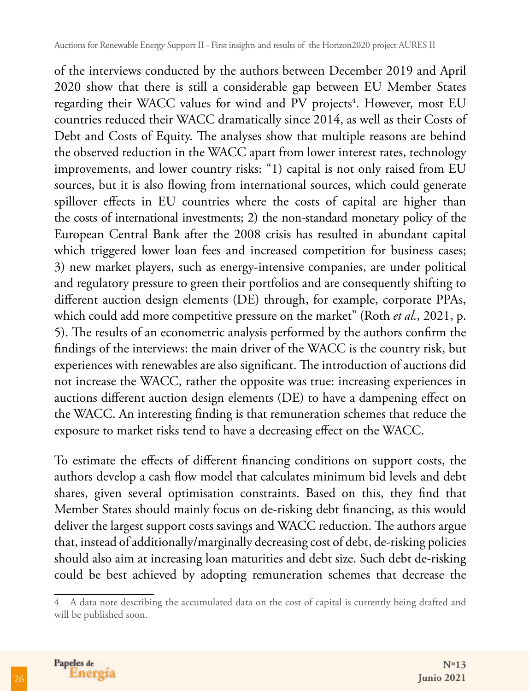of the interviews conducted by the authors between December 2019 and April 2020 show that there is still a considerable gap between EU Member States regarding their WACC values for wind and PV projects<sup>4</sup>. However, most EU countries reduced their WACC dramatically since 2014, as well as their Costs of Debt and Costs of Equity. The analyses show that multiple reasons are behind the observed reduction in the WACC apart from lower interest rates, technology improvements, and lower country risks: "1) capital is not only raised from EU sources, but it is also flowing from international sources, which could generate spillover effects in EU countries where the costs of capital are higher than the costs of international investments; 2) the non-standard monetary policy of the European Central Bank after the 2008 crisis has resulted in abundant capital which triggered lower loan fees and increased competition for business cases; 3) new market players, such as energy-intensive companies, are under political and regulatory pressure to green their portfolios and are consequently shifting to different auction design elements (DE) through, for example, corporate PPAs, which could add more competitive pressure on the market" (Roth *et al.,* 2021, p. 5). The results of an econometric analysis performed by the authors confirm the findings of the interviews: the main driver of the WACC is the country risk, but experiences with renewables are also significant. The introduction of auctions did not increase the WACC, rather the opposite was true: increasing experiences in auctions different auction design elements (DE) to have a dampening effect on the WACC. An interesting finding is that remuneration schemes that reduce the exposure to market risks tend to have a decreasing effect on the WACC.

To estimate the effects of different financing conditions on support costs, the authors develop a cash flow model that calculates minimum bid levels and debt shares, given several optimisation constraints. Based on this, they find that Member States should mainly focus on de-risking debt financing, as this would deliver the largest support costs savings and WACC reduction. The authors argue that, instead of additionally/marginally decreasing cost of debt, de-risking policies should also aim at increasing loan maturities and debt size. Such debt de-risking could be best achieved by adopting remuneration schemes that decrease the

<sup>4</sup> A data note describing the accumulated data on the cost of capital is currently being drafted and will be published soon.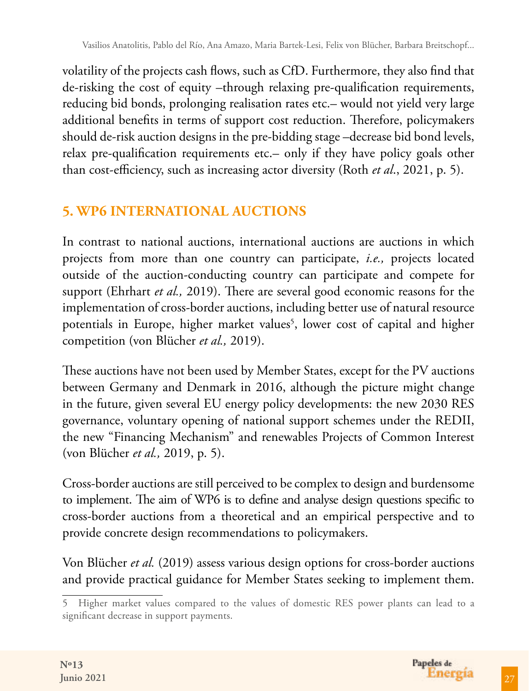volatility of the projects cash flows, such as CfD. Furthermore, they also find that de-risking the cost of equity –through relaxing pre-qualification requirements, reducing bid bonds, prolonging realisation rates etc.– would not yield very large additional benefits in terms of support cost reduction. Therefore, policymakers should de-risk auction designs in the pre-bidding stage –decrease bid bond levels, relax pre-qualification requirements etc.– only if they have policy goals other than cost-efficiency, such as increasing actor diversity (Roth *et al*., 2021, p. 5).

# **5. WP6 INTERNATIONAL AUCTIONS**

In contrast to national auctions, international auctions are auctions in which projects from more than one country can participate, *i.e.,* projects located outside of the auction-conducting country can participate and compete for support (Ehrhart *et al.,* 2019). There are several good economic reasons for the implementation of cross-border auctions, including better use of natural resource potentials in Europe, higher market values<sup>5</sup>, lower cost of capital and higher competition (von Blücher *et al.,* 2019).

These auctions have not been used by Member States, except for the PV auctions between Germany and Denmark in 2016, although the picture might change in the future, given several EU energy policy developments: the new 2030 RES governance, voluntary opening of national support schemes under the REDII, the new "Financing Mechanism" and renewables Projects of Common Interest (von Blücher *et al.,* 2019, p. 5).

Cross-border auctions are still perceived to be complex to design and burdensome to implement. The aim of WP6 is to define and analyse design questions specific to cross-border auctions from a theoretical and an empirical perspective and to provide concrete design recommendations to policymakers.

Von Blücher *et al.* (2019) assess various design options for cross-border auctions and provide practical guidance for Member States seeking to implement them.

<sup>5</sup> Higher market values compared to the values of domestic RES power plants can lead to a significant decrease in support payments.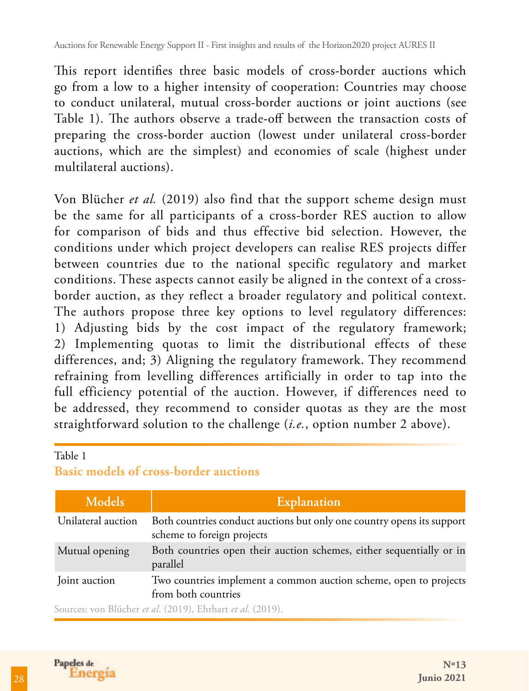This report identifies three basic models of cross-border auctions which go from a low to a higher intensity of cooperation: Countries may choose to conduct unilateral, mutual cross-border auctions or joint auctions (see Table 1). The authors observe a trade-off between the transaction costs of preparing the cross-border auction (lowest under unilateral cross-border auctions, which are the simplest) and economies of scale (highest under multilateral auctions).

Von Blücher *et al.* (2019) also find that the support scheme design must be the same for all participants of a cross-border RES auction to allow for comparison of bids and thus effective bid selection. However, the conditions under which project developers can realise RES projects differ between countries due to the national specific regulatory and market conditions. These aspects cannot easily be aligned in the context of a crossborder auction, as they reflect a broader regulatory and political context. The authors propose three key options to level regulatory differences: 1) Adjusting bids by the cost impact of the regulatory framework; 2) Implementing quotas to limit the distributional effects of these differences, and; 3) Aligning the regulatory framework. They recommend refraining from levelling differences artificially in order to tap into the full efficiency potential of the auction. However, if differences need to be addressed, they recommend to consider quotas as they are the most straightforward solution to the challenge (*i.e.*, option number 2 above).

#### Table 1

#### **Basic models of cross-border auctions**

| Models             | <b>Explanation</b>                                                                                   |
|--------------------|------------------------------------------------------------------------------------------------------|
| Unilateral auction | Both countries conduct auctions but only one country opens its support<br>scheme to foreign projects |
| Mutual opening     | Both countries open their auction schemes, either sequentially or in<br>parallel                     |
| Joint auction      | Two countries implement a common auction scheme, open to projects<br>from both countries             |
|                    | Sources: you Blücher et al (2019) Ehrbort et al (2019)                                               |

Sources: von Blücher *et al*. (2019), Ehrhart *et al.* (2019).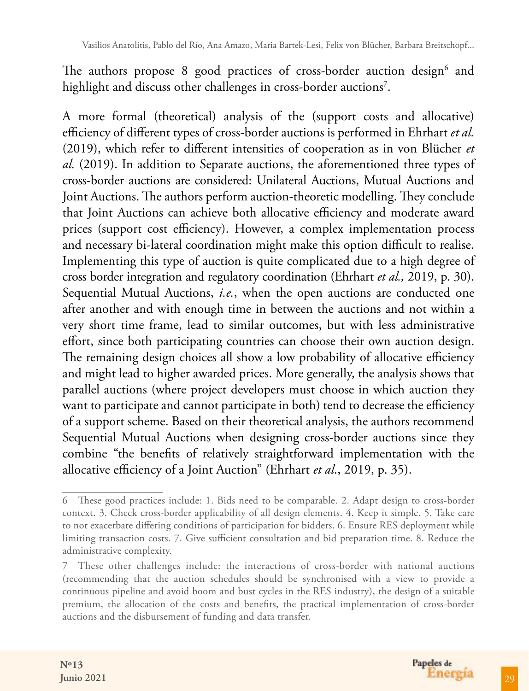The authors propose 8 good practices of cross-border auction design<sup>6</sup> and highlight and discuss other challenges in cross-border auctions<sup>7</sup>.

A more formal (theoretical) analysis of the (support costs and allocative) efficiency of different types of cross-border auctions is performed in Ehrhart *et al.* (2019), which refer to different intensities of cooperation as in von Blücher *et al.* (2019). In addition to Separate auctions, the aforementioned three types of cross-border auctions are considered: Unilateral Auctions, Mutual Auctions and Joint Auctions. The authors perform auction-theoretic modelling. They conclude that Joint Auctions can achieve both allocative efficiency and moderate award prices (support cost efficiency). However, a complex implementation process and necessary bi-lateral coordination might make this option difficult to realise. Implementing this type of auction is quite complicated due to a high degree of cross border integration and regulatory coordination (Ehrhart *et al.,* 2019, p. 30). Sequential Mutual Auctions, *i.e.*, when the open auctions are conducted one after another and with enough time in between the auctions and not within a very short time frame, lead to similar outcomes, but with less administrative effort, since both participating countries can choose their own auction design. The remaining design choices all show a low probability of allocative efficiency and might lead to higher awarded prices. More generally, the analysis shows that parallel auctions (where project developers must choose in which auction they want to participate and cannot participate in both) tend to decrease the efficiency of a support scheme. Based on their theoretical analysis, the authors recommend Sequential Mutual Auctions when designing cross-border auctions since they combine "the benefits of relatively straightforward implementation with the allocative efficiency of a Joint Auction" (Ehrhart *et al*., 2019, p. 35).

<sup>6</sup> These good practices include: 1. Bids need to be comparable. 2. Adapt design to cross-border context. 3. Check cross-border applicability of all design elements. 4. Keep it simple. 5. Take care to not exacerbate differing conditions of participation for bidders. 6. Ensure RES deployment while limiting transaction costs. 7. Give sufficient consultation and bid preparation time. 8. Reduce the administrative complexity.

<sup>7</sup> These other challenges include: the interactions of cross-border with national auctions (recommending that the auction schedules should be synchronised with a view to provide a continuous pipeline and avoid boom and bust cycles in the RES industry), the design of a suitable premium, the allocation of the costs and benefits, the practical implementation of cross-border auctions and the disbursement of funding and data transfer.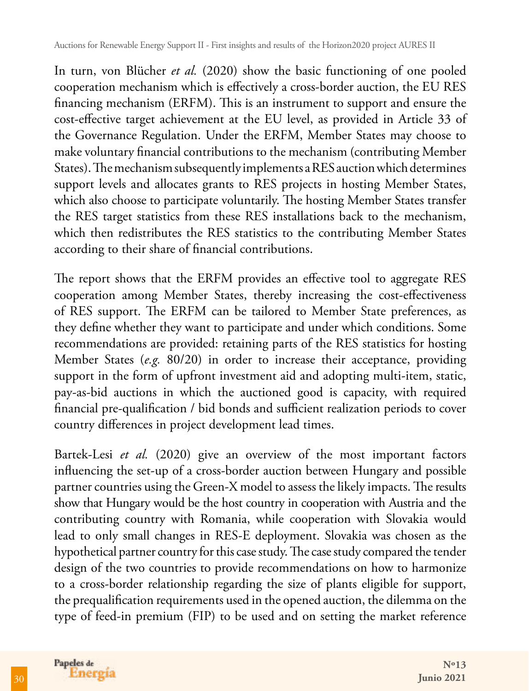In turn, von Blücher *et al.* (2020) show the basic functioning of one pooled cooperation mechanism which is effectively a cross-border auction, the EU RES financing mechanism (ERFM). This is an instrument to support and ensure the cost-effective target achievement at the EU level, as provided in Article 33 of the Governance Regulation. Under the ERFM, Member States may choose to make voluntary financial contributions to the mechanism (contributing Member States). The mechanism subsequently implements a RES auction which determines support levels and allocates grants to RES projects in hosting Member States, which also choose to participate voluntarily. The hosting Member States transfer the RES target statistics from these RES installations back to the mechanism, which then redistributes the RES statistics to the contributing Member States according to their share of financial contributions.

The report shows that the ERFM provides an effective tool to aggregate RES cooperation among Member States, thereby increasing the cost-effectiveness of RES support. The ERFM can be tailored to Member State preferences, as they define whether they want to participate and under which conditions. Some recommendations are provided: retaining parts of the RES statistics for hosting Member States (*e.g.* 80/20) in order to increase their acceptance, providing support in the form of upfront investment aid and adopting multi-item, static, pay-as-bid auctions in which the auctioned good is capacity, with required financial pre-qualification / bid bonds and sufficient realization periods to cover country differences in project development lead times.

Bartek-Lesi *et al.* (2020) give an overview of the most important factors influencing the set-up of a cross-border auction between Hungary and possible partner countries using the Green-X model to assess the likely impacts. The results show that Hungary would be the host country in cooperation with Austria and the contributing country with Romania, while cooperation with Slovakia would lead to only small changes in RES-E deployment. Slovakia was chosen as the hypothetical partner country for this case study. The case study compared the tender design of the two countries to provide recommendations on how to harmonize to a cross-border relationship regarding the size of plants eligible for support, the prequalification requirements used in the opened auction, the dilemma on the type of feed-in premium (FIP) to be used and on setting the market reference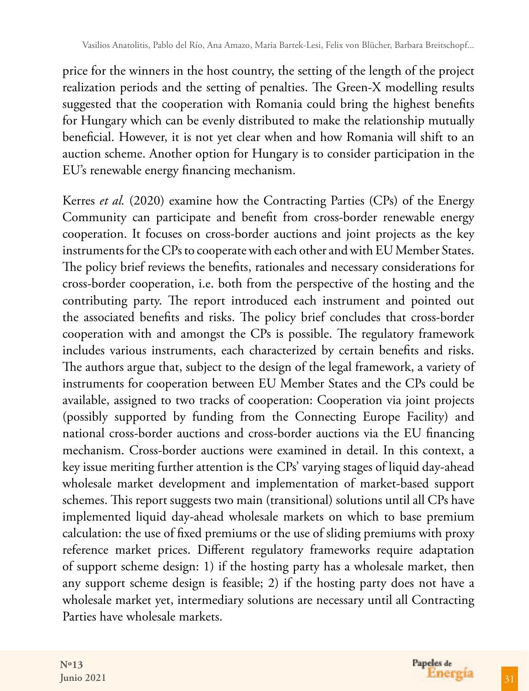price for the winners in the host country, the setting of the length of the project realization periods and the setting of penalties. The Green-X modelling results suggested that the cooperation with Romania could bring the highest benefits for Hungary which can be evenly distributed to make the relationship mutually beneficial. However, it is not yet clear when and how Romania will shift to an auction scheme. Another option for Hungary is to consider participation in the EU's renewable energy financing mechanism.

Kerres *et al.* (2020) examine how the Contracting Parties (CPs) of the Energy Community can participate and benefit from cross-border renewable energy cooperation. It focuses on cross-border auctions and joint projects as the key instruments for the CPs to cooperate with each other and with EU Member States. The policy brief reviews the benefits, rationales and necessary considerations for cross-border cooperation, i.e. both from the perspective of the hosting and the contributing party. The report introduced each instrument and pointed out the associated benefits and risks. The policy brief concludes that cross-border cooperation with and amongst the CPs is possible. The regulatory framework includes various instruments, each characterized by certain benefits and risks. The authors argue that, subject to the design of the legal framework, a variety of instruments for cooperation between EU Member States and the CPs could be available, assigned to two tracks of cooperation: Cooperation via joint projects (possibly supported by funding from the Connecting Europe Facility) and national cross-border auctions and cross-border auctions via the EU financing mechanism. Cross-border auctions were examined in detail. In this context, a key issue meriting further attention is the CPs' varying stages of liquid day-ahead wholesale market development and implementation of market-based support schemes. This report suggests two main (transitional) solutions until all CPs have implemented liquid day-ahead wholesale markets on which to base premium calculation: the use of fixed premiums or the use of sliding premiums with proxy reference market prices. Different regulatory frameworks require adaptation of support scheme design: 1) if the hosting party has a wholesale market, then any support scheme design is feasible; 2) if the hosting party does not have a wholesale market yet, intermediary solutions are necessary until all Contracting Parties have wholesale markets.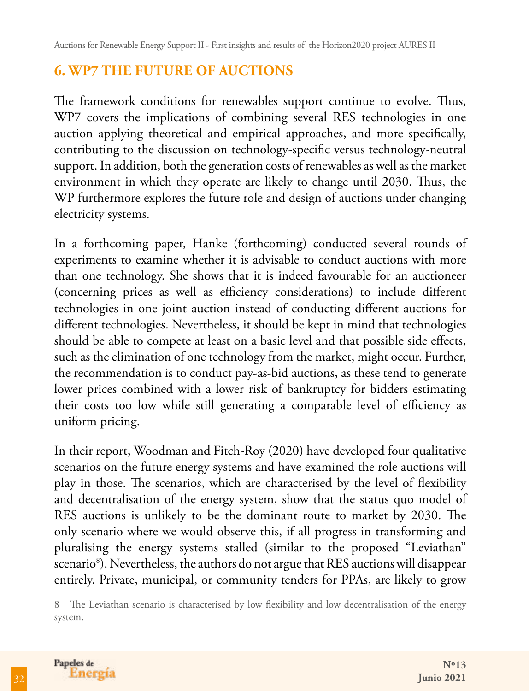# **6. WP7 THE FUTURE OF AUCTIONS**

The framework conditions for renewables support continue to evolve. Thus, WP7 covers the implications of combining several RES technologies in one auction applying theoretical and empirical approaches, and more specifically, contributing to the discussion on technology-specific versus technology-neutral support. In addition, both the generation costs of renewables as well as the market environment in which they operate are likely to change until 2030. Thus, the WP furthermore explores the future role and design of auctions under changing electricity systems.

In a forthcoming paper, Hanke (forthcoming) conducted several rounds of experiments to examine whether it is advisable to conduct auctions with more than one technology. She shows that it is indeed favourable for an auctioneer (concerning prices as well as efficiency considerations) to include different technologies in one joint auction instead of conducting different auctions for different technologies. Nevertheless, it should be kept in mind that technologies should be able to compete at least on a basic level and that possible side effects, such as the elimination of one technology from the market, might occur. Further, the recommendation is to conduct pay-as-bid auctions, as these tend to generate lower prices combined with a lower risk of bankruptcy for bidders estimating their costs too low while still generating a comparable level of efficiency as uniform pricing.

In their report, Woodman and Fitch-Roy (2020) have developed four qualitative scenarios on the future energy systems and have examined the role auctions will play in those. The scenarios, which are characterised by the level of flexibility and decentralisation of the energy system, show that the status quo model of RES auctions is unlikely to be the dominant route to market by 2030. The only scenario where we would observe this, if all progress in transforming and pluralising the energy systems stalled (similar to the proposed "Leviathan" scenario<sup>8</sup>). Nevertheless, the authors do not argue that RES auctions will disappear entirely. Private, municipal, or community tenders for PPAs, are likely to grow

<sup>8</sup> The Leviathan scenario is characterised by low flexibility and low decentralisation of the energy system.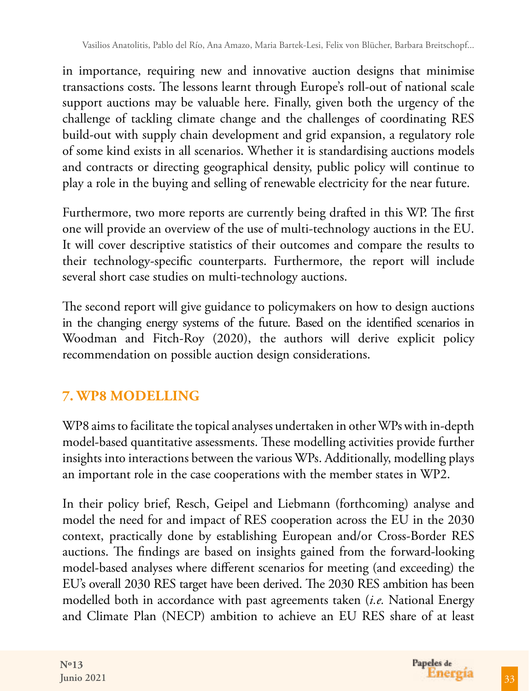in importance, requiring new and innovative auction designs that minimise transactions costs. The lessons learnt through Europe's roll-out of national scale support auctions may be valuable here. Finally, given both the urgency of the challenge of tackling climate change and the challenges of coordinating RES build-out with supply chain development and grid expansion, a regulatory role of some kind exists in all scenarios. Whether it is standardising auctions models and contracts or directing geographical density, public policy will continue to play a role in the buying and selling of renewable electricity for the near future.

Furthermore, two more reports are currently being drafted in this WP. The first one will provide an overview of the use of multi-technology auctions in the EU. It will cover descriptive statistics of their outcomes and compare the results to their technology-specific counterparts. Furthermore, the report will include several short case studies on multi-technology auctions.

The second report will give guidance to policymakers on how to design auctions in the changing energy systems of the future. Based on the identified scenarios in Woodman and Fitch-Roy (2020), the authors will derive explicit policy recommendation on possible auction design considerations.

# **7. WP8 MODELLING**

WP8 aims to facilitate the topical analyses undertaken in other WPs with in-depth model-based quantitative assessments. These modelling activities provide further insights into interactions between the various WPs. Additionally, modelling plays an important role in the case cooperations with the member states in WP2.

In their policy brief, Resch, Geipel and Liebmann (forthcoming) analyse and model the need for and impact of RES cooperation across the EU in the 2030 context, practically done by establishing European and/or Cross-Border RES auctions. The findings are based on insights gained from the forward-looking model-based analyses where different scenarios for meeting (and exceeding) the EU's overall 2030 RES target have been derived. The 2030 RES ambition has been modelled both in accordance with past agreements taken (*i.e.* National Energy and Climate Plan (NECP) ambition to achieve an EU RES share of at least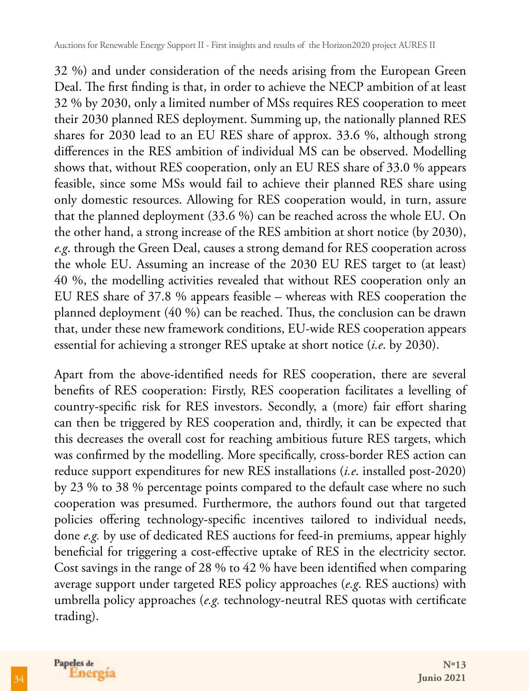32 %) and under consideration of the needs arising from the European Green Deal. The first finding is that, in order to achieve the NECP ambition of at least 32 % by 2030, only a limited number of MSs requires RES cooperation to meet their 2030 planned RES deployment. Summing up, the nationally planned RES shares for 2030 lead to an EU RES share of approx. 33.6 %, although strong differences in the RES ambition of individual MS can be observed. Modelling shows that, without RES cooperation, only an EU RES share of 33.0 % appears feasible, since some MSs would fail to achieve their planned RES share using only domestic resources. Allowing for RES cooperation would, in turn, assure that the planned deployment (33.6 %) can be reached across the whole EU. On the other hand, a strong increase of the RES ambition at short notice (by 2030), *e.g*. through the Green Deal, causes a strong demand for RES cooperation across the whole EU. Assuming an increase of the 2030 EU RES target to (at least) 40 %, the modelling activities revealed that without RES cooperation only an EU RES share of 37.8 % appears feasible – whereas with RES cooperation the planned deployment (40 %) can be reached. Thus, the conclusion can be drawn that, under these new framework conditions, EU-wide RES cooperation appears essential for achieving a stronger RES uptake at short notice (*i.e*. by 2030).

Apart from the above-identified needs for RES cooperation, there are several benefits of RES cooperation: Firstly, RES cooperation facilitates a levelling of country-specific risk for RES investors. Secondly, a (more) fair effort sharing can then be triggered by RES cooperation and, thirdly, it can be expected that this decreases the overall cost for reaching ambitious future RES targets, which was confirmed by the modelling. More specifically, cross-border RES action can reduce support expenditures for new RES installations (*i.e*. installed post-2020) by 23 % to 38 % percentage points compared to the default case where no such cooperation was presumed. Furthermore, the authors found out that targeted policies offering technology-specific incentives tailored to individual needs, done *e.g.* by use of dedicated RES auctions for feed-in premiums, appear highly beneficial for triggering a cost-effective uptake of RES in the electricity sector. Cost savings in the range of 28 % to 42 % have been identified when comparing average support under targeted RES policy approaches (*e.g*. RES auctions) with umbrella policy approaches (*e.g.* technology-neutral RES quotas with certificate trading).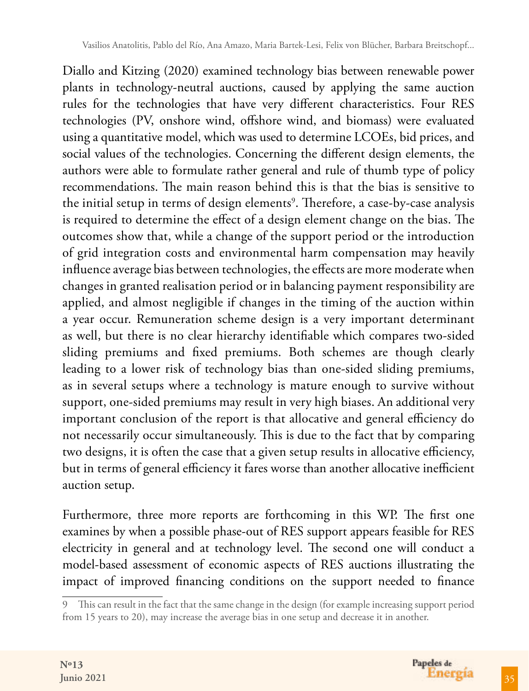Diallo and Kitzing (2020) examined technology bias between renewable power plants in technology-neutral auctions, caused by applying the same auction rules for the technologies that have very different characteristics. Four RES technologies (PV, onshore wind, offshore wind, and biomass) were evaluated using a quantitative model, which was used to determine LCOEs, bid prices, and social values of the technologies. Concerning the different design elements, the authors were able to formulate rather general and rule of thumb type of policy recommendations. The main reason behind this is that the bias is sensitive to the initial setup in terms of design elements<sup>9</sup>. Therefore, a case-by-case analysis is required to determine the effect of a design element change on the bias. The outcomes show that, while a change of the support period or the introduction of grid integration costs and environmental harm compensation may heavily influence average bias between technologies, the effects are more moderate when changes in granted realisation period or in balancing payment responsibility are applied, and almost negligible if changes in the timing of the auction within a year occur. Remuneration scheme design is a very important determinant as well, but there is no clear hierarchy identifiable which compares two-sided sliding premiums and fixed premiums. Both schemes are though clearly leading to a lower risk of technology bias than one-sided sliding premiums, as in several setups where a technology is mature enough to survive without support, one-sided premiums may result in very high biases. An additional very important conclusion of the report is that allocative and general efficiency do not necessarily occur simultaneously. This is due to the fact that by comparing two designs, it is often the case that a given setup results in allocative efficiency, but in terms of general efficiency it fares worse than another allocative inefficient auction setup.

Furthermore, three more reports are forthcoming in this WP. The first one examines by when a possible phase-out of RES support appears feasible for RES electricity in general and at technology level. The second one will conduct a model-based assessment of economic aspects of RES auctions illustrating the impact of improved financing conditions on the support needed to finance

<sup>9</sup> This can result in the fact that the same change in the design (for example increasing support period from 15 years to 20), may increase the average bias in one setup and decrease it in another.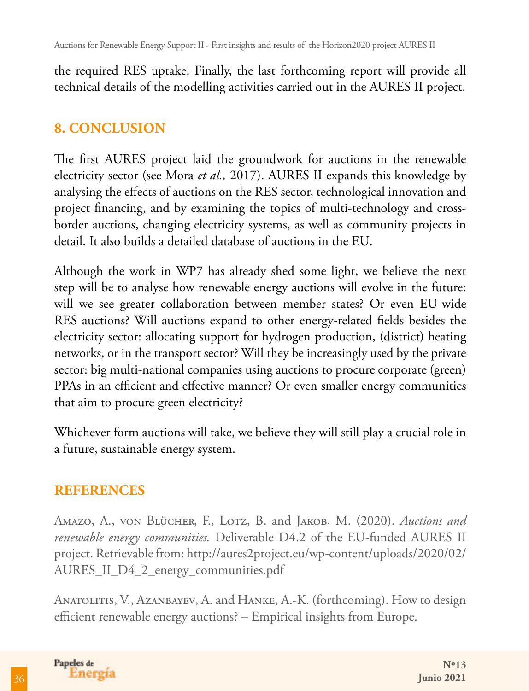Auctions for Renewable Energy Support II - First insights and results of the Horizon2020 project AURES II

the required RES uptake. Finally, the last forthcoming report will provide all technical details of the modelling activities carried out in the AURES II project.

### **8. CONCLUSION**

The first AURES project laid the groundwork for auctions in the renewable electricity sector (see Mora *et al.,* 2017). AURES II expands this knowledge by analysing the effects of auctions on the RES sector, technological innovation and project financing, and by examining the topics of multi-technology and crossborder auctions, changing electricity systems, as well as community projects in detail. It also builds a detailed database of auctions in the EU.

Although the work in WP7 has already shed some light, we believe the next step will be to analyse how renewable energy auctions will evolve in the future: will we see greater collaboration between member states? Or even EU-wide RES auctions? Will auctions expand to other energy-related fields besides the electricity sector: allocating support for hydrogen production, (district) heating networks, or in the transport sector? Will they be increasingly used by the private sector: big multi-national companies using auctions to procure corporate (green) PPAs in an efficient and effective manner? Or even smaller energy communities that aim to procure green electricity?

Whichever form auctions will take, we believe they will still play a crucial role in a future, sustainable energy system.

### **REFERENCES**

AMAZO, A., VON BLÜCHER, F., LOTZ, B. and JAKOB, M. (2020). *Auctions and renewable energy communities.* Deliverable D4.2 of the EU-funded AURES II project. Retrievable from: http://aures2project.eu/wp-content/uploads/2020/02/ AURES\_II\_D4\_2\_energy\_communities.pdf

ANATOLITIS, V., AZANBAYEV, A. and HANKE, A.-K. (forthcoming). How to design efficient renewable energy auctions? – Empirical insights from Europe.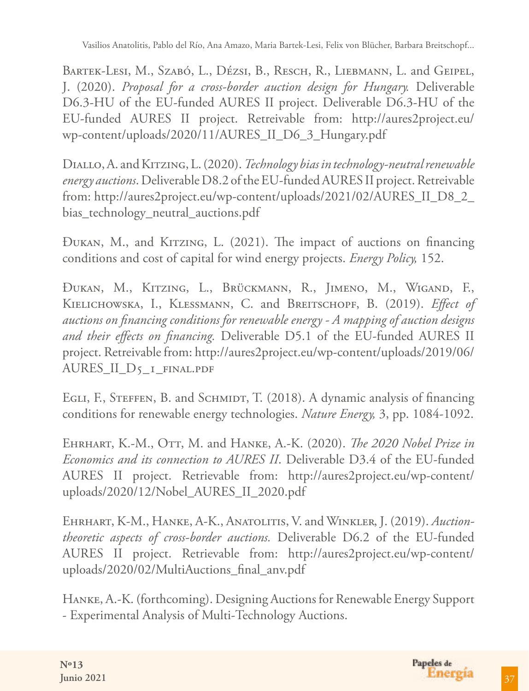Vasilios Anatolitis, Pablo del Río, Ana Amazo, Maria Bartek-Lesi, Felix von Blücher, Barbara Breitschopf...

BARTEK-LESI, M., SZABÓ, L., DÉZSI, B., RESCH, R., LIEBMANN, L. and GEIPEL, J. (2020). *Proposal for a cross-border auction design for Hungary.* Deliverable D6.3-HU of the EU-funded AURES II project. Deliverable D6.3-HU of the EU-funded AURES II project. Retreivable from: http://aures2project.eu/ wp-content/uploads/2020/11/AURES\_II\_D6\_3\_Hungary.pdf

Diallo, A. and Kitzing, L. (2020). *Technology bias in technology-neutral renewable energy auctions*. Deliverable D8.2 of the EU-funded AURES II project. Retreivable from: http://aures2project.eu/wp-content/uploads/2021/02/AURES\_II\_D8\_2\_ bias\_technology\_neutral\_auctions.pdf

Đukan, M., and Kitzing, L. (2021). The impact of auctions on financing conditions and cost of capital for wind energy projects. *Energy Policy,* 152.

Đukan, M., Kitzing, L., Brückmann, R., Jimeno, M., Wigand, F., Kielichowska, I., Klessmann, C. and Breitschopf, B. (2019). *Effect of auctions on financing conditions for renewable energy - A mapping of auction designs and their effects on financing.* Deliverable D5.1 of the EU-funded AURES II project. Retreivable from: http://aures2project.eu/wp-content/uploads/2019/06/ AURES\_II\_D5\_1\_final.pdf

EGLI, F., STEFFEN, B. and SCHMIDT, T. (2018). A dynamic analysis of financing conditions for renewable energy technologies. *Nature Energy,* 3, pp. 1084-1092.

Ehrhart, K.-M., Ott, M. and Hanke, A.-K. (2020). *The 2020 Nobel Prize in Economics and its connection to AURES II*. Deliverable D3.4 of the EU-funded AURES II project. Retrievable from: http://aures2project.eu/wp-content/ uploads/2020/12/Nobel\_AURES\_II\_2020.pdf

Ehrhart, K-M., Hanke, A-K., Anatolitis, V. and Winkler, J. (2019). *Auctiontheoretic aspects of cross-border auctions.* Deliverable D6.2 of the EU-funded AURES II project. Retrievable from: http://aures2project.eu/wp-content/ uploads/2020/02/MultiAuctions\_final\_anv.pdf

Hanke, A.-K. (forthcoming). Designing Auctions for Renewable Energy Support - Experimental Analysis of Multi-Technology Auctions.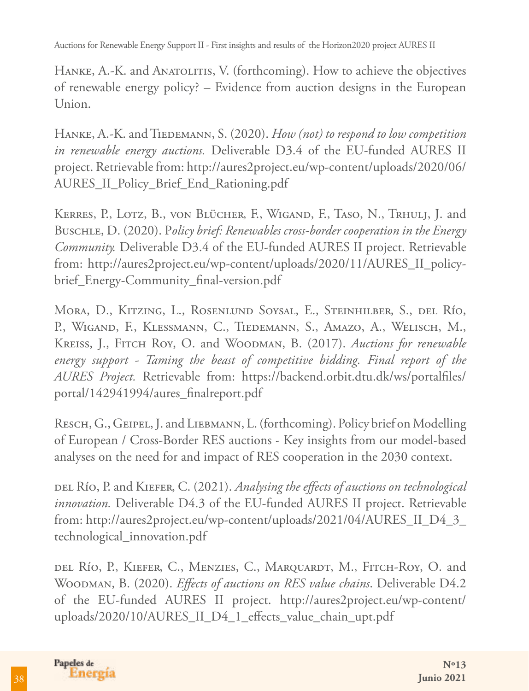Auctions for Renewable Energy Support II - First insights and results of the Horizon2020 project AURES II

HANKE, A.-K. and ANATOLITIS, V. (forthcoming). How to achieve the objectives of renewable energy policy? – Evidence from auction designs in the European Union.

HANKE, A.-K. and TIEDEMANN, S. (2020). *How (not) to respond to low competition in renewable energy auctions.* Deliverable D3.4 of the EU-funded AURES II project. Retrievable from: http://aures2project.eu/wp-content/uploads/2020/06/ AURES\_II\_Policy\_Brief\_End\_Rationing.pdf

KERRES, P., LOTZ, B., VON BLÜCHER, F., WIGAND, F., TASO, N., TRHULJ, J. and Buschle, D. (2020). P*olicy brief: Renewables cross-border cooperation in the Energy Community.* Deliverable D3.4 of the EU-funded AURES II project. Retrievable from: http://aures2project.eu/wp-content/uploads/2020/11/AURES\_II\_policybrief\_Energy-Community\_final-version.pdf

Mora, D., Kitzing, L., Rosenlund Soysal, E., Steinhilber, S., del Río, P., WIGAND, F., KLESSMANN, C., TIEDEMANN, S., AMAZO, A., WELISCH, M., Kreiss, J., Fitch Roy, O. and Woodman, B. (2017). *Auctions for renewable energy support - Taming the beast of competitive bidding. Final report of the AURES Project.* Retrievable from: https://backend.orbit.dtu.dk/ws/portalfiles/ portal/142941994/aures\_finalreport.pdf

RESCH, G., GEIPEL, J. and LIEBMANN, L. (forthcoming). Policy brief on Modelling of European / Cross-Border RES auctions - Key insights from our model-based analyses on the need for and impact of RES cooperation in the 2030 context.

del Río, P. and Kiefer, C. (2021). *Analysing the effects of auctions on technological innovation.* Deliverable D4.3 of the EU-funded AURES II project. Retrievable from: http://aures2project.eu/wp-content/uploads/2021/04/AURES\_II\_D4\_3\_ technological\_innovation.pdf

del Río, P., Kiefer, C., Menzies, C., Marquardt, M., Fitch-Roy, O. and Woodman, B. (2020). *Effects of auctions on RES value chains*. Deliverable D4.2 of the EU-funded AURES II project. http://aures2project.eu/wp-content/ uploads/2020/10/AURES\_II\_D4\_1\_effects\_value\_chain\_upt.pdf